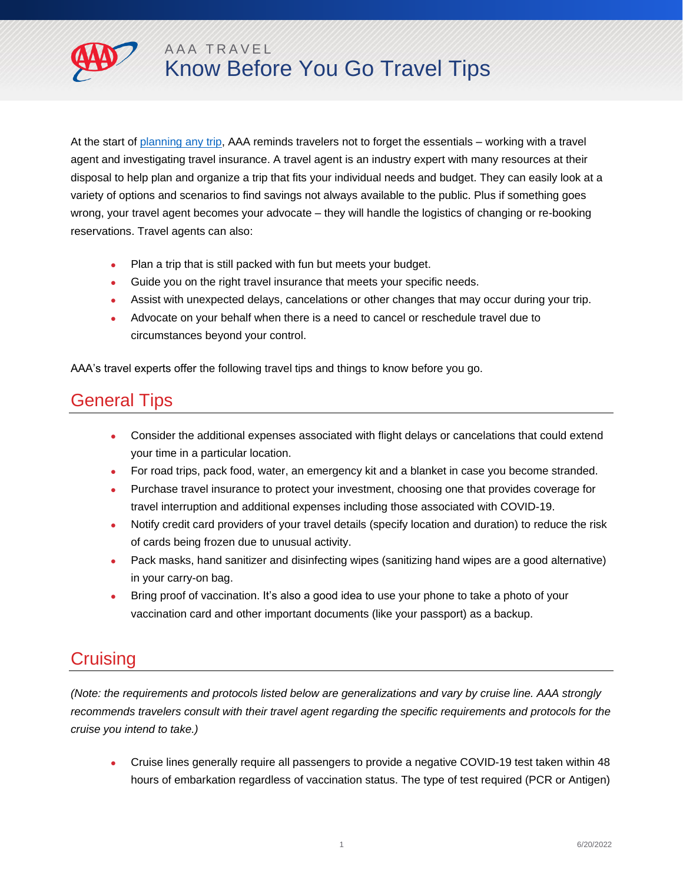

At the start of [planning any trip,](https://aaa.com/travel) AAA reminds travelers not to forget the essentials – working with a travel agent and investigating travel insurance. A travel agent is an industry expert with many resources at their disposal to help plan and organize a trip that fits your individual needs and budget. They can easily look at a variety of options and scenarios to find savings not always available to the public. Plus if something goes wrong, your travel agent becomes your advocate – they will handle the logistics of changing or re-booking reservations. Travel agents can also:

- Plan a trip that is still packed with fun but meets your budget.
- Guide you on the right travel insurance that meets your specific needs.
- Assist with unexpected delays, cancelations or other changes that may occur during your trip.
- Advocate on your behalf when there is a need to cancel or reschedule travel due to circumstances beyond your control.

AAA's travel experts offer the following travel tips and things to know before you go.

## General Tips

- Consider the additional expenses associated with flight delays or cancelations that could extend your time in a particular location.
- For road trips, pack food, water, an emergency kit and a blanket in case you become stranded.
- Purchase travel insurance to protect your investment, choosing one that provides coverage for travel interruption and additional expenses including those associated with COVID-19.
- Notify credit card providers of your travel details (specify location and duration) to reduce the risk of cards being frozen due to unusual activity.
- Pack masks, hand sanitizer and disinfecting wipes (sanitizing hand wipes are a good alternative) in your carry-on bag.
- Bring proof of vaccination. It's also a good idea to use your phone to take a photo of your vaccination card and other important documents (like your passport) as a backup.

## Cruising

*(Note: the requirements and protocols listed below are generalizations and vary by cruise line. AAA strongly recommends travelers consult with their travel agent regarding the specific requirements and protocols for the cruise you intend to take.)* 

 Cruise lines generally require all passengers to provide a negative COVID-19 test taken within 48 hours of embarkation regardless of vaccination status. The type of test required (PCR or Antigen)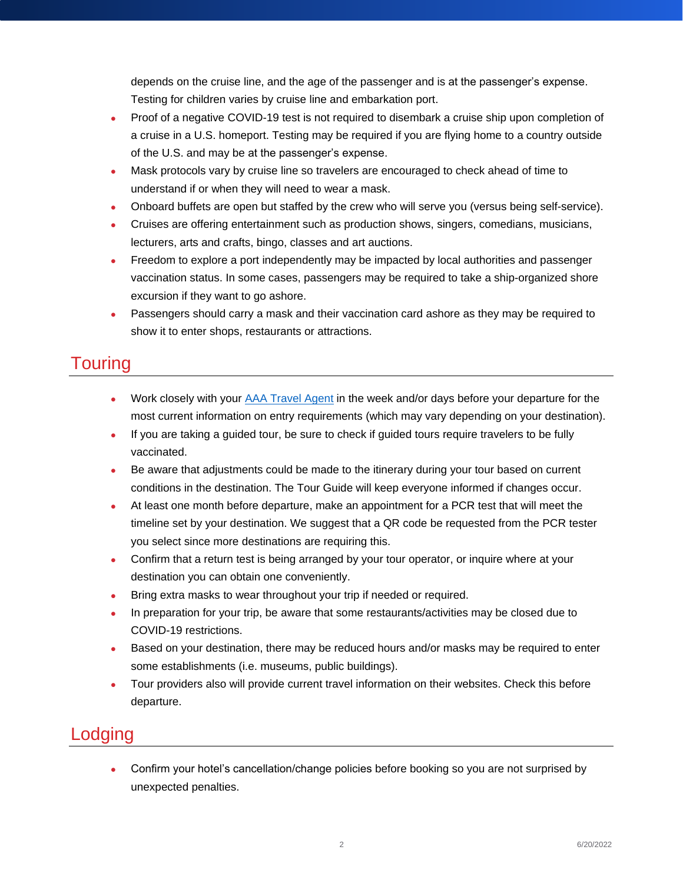depends on the cruise line, and the age of the passenger and is at the passenger's expense. Testing for children varies by cruise line and embarkation port.

- Proof of a negative COVID-19 test is not required to disembark a cruise ship upon completion of a cruise in a U.S. homeport. Testing may be required if you are flying home to a country outside of the U.S. and may be at the passenger's expense.
- Mask protocols vary by cruise line so travelers are encouraged to check ahead of time to understand if or when they will need to wear a mask.
- Onboard buffets are open but staffed by the crew who will serve you (versus being self-service).
- Cruises are offering entertainment such as production shows, singers, comedians, musicians, lecturers, arts and crafts, bingo, classes and art auctions.
- Freedom to explore a port independently may be impacted by local authorities and passenger vaccination status. In some cases, passengers may be required to take a ship-organized shore excursion if they want to go ashore.
- Passengers should carry a mask and their vaccination card ashore as they may be required to show it to enter shops, restaurants or attractions.

## **Touring**

- Work closely with your [AAA Travel Agent](https://travel.aaa.com/) in the week and/or days before your departure for the most current information on entry requirements (which may vary depending on your destination).
- If you are taking a guided tour, be sure to check if guided tours require travelers to be fully vaccinated.
- Be aware that adjustments could be made to the itinerary during your tour based on current conditions in the destination. The Tour Guide will keep everyone informed if changes occur.
- At least one month before departure, make an appointment for a PCR test that will meet the timeline set by your destination. We suggest that a QR code be requested from the PCR tester you select since more destinations are requiring this.
- Confirm that a return test is being arranged by your tour operator, or inquire where at your destination you can obtain one conveniently.
- Bring extra masks to wear throughout your trip if needed or required.
- In preparation for your trip, be aware that some restaurants/activities may be closed due to COVID-19 restrictions.
- Based on your destination, there may be reduced hours and/or masks may be required to enter some establishments (i.e. museums, public buildings).
- Tour providers also will provide current travel information on their websites. Check this before departure.

## Lodging

 Confirm your hotel's cancellation/change policies before booking so you are not surprised by unexpected penalties.